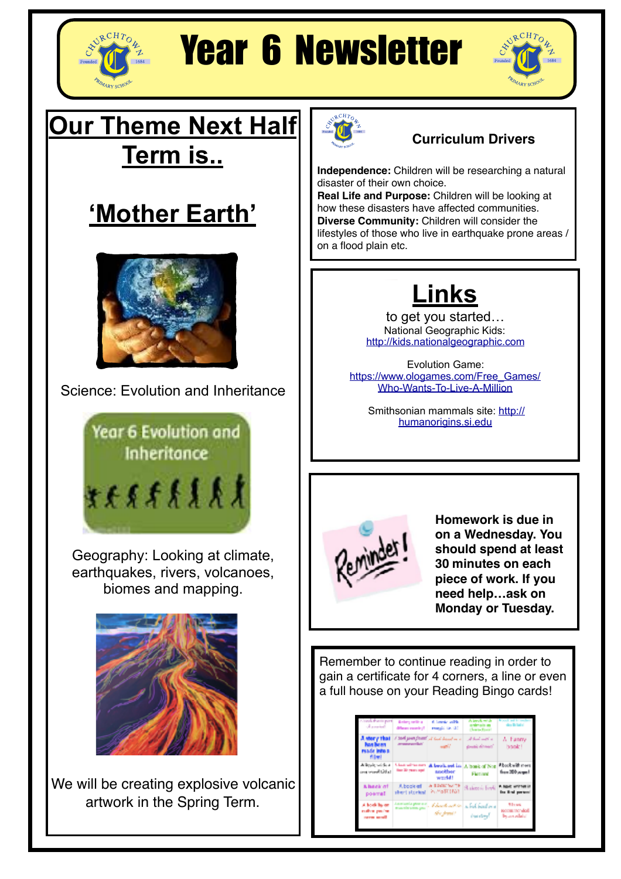

# Year 6 Newsletter



### **Our Theme Next Half Term is..**





Science: Evolution and Inheritance



Geography: Looking at climate, earthquakes, rivers, volcanoes, biomes and mapping.



We will be creating explosive volcanic artwork in the Spring Term.



#### **Curriculum Drivers**

**Independence:** Children will be researching a natural disaster of their own choice.

**Real Life and Purpose:** Children will be looking at how these disasters have affected communities. **Diverse Community:** Children will consider the lifestyles of those who live in earthquake prone areas / on a flood plain etc.

## **Links**

to get you started… National Geographic Kids: <http://kids.nationalgeographic.com>

Evolution Game: [https://www.ologames.com/Free\\_Games/](https://www.ologames.com/Free_Games/Who-Wants-To-Live-A-Million) [Who-Wants-To-Live-A-Million](https://www.ologames.com/Free_Games/Who-Wants-To-Live-A-Million)

 Smithsonian mammals site: [http://](http://humanorigins.si.edu) [humanorigins.si.edu](http://humanorigins.si.edu)



**Homework is due in on a Wednesday. You should spend at least 30 minutes on each piece of work. If you need help…ask on Monday or Tuesday.**

Remember to continue reading in order to gain a certificate for 4 corners, a line or even a full house on your Reading Bingo cards!

| such thank part.<br>المقصورات                               | <b>Belany sells a</b><br>different experts of | 6 lowing with.<br>reagain tax (2)                           | A levels with<br>antmais es<br>Home facer | <b>Wood</b> ad is said<br>des Britain                 |
|-------------------------------------------------------------|-----------------------------------------------|-------------------------------------------------------------|-------------------------------------------|-------------------------------------------------------|
| A shory that<br><b>Base Burney</b><br>rande into a<br>film! | areas and late                                | A book powerfrom? It's think down to it.<br>want?           | دا کامل کسال اور<br>double already?       | A. Fanny<br>hook!                                     |
| A liquity within a<br>الدائلا المصمدوس                      | Charter and their marry<br>than 30 years ago! | A beskaat in<br>another<br>world!                           | A house of Non<br><b>Fast and</b>         | Abookwith meet<br>from 200 acquait                    |
| A beck of<br>poemat                                         | A book of<br>shert storked                    | A EDOM NATE<br>26 MoTC (TOT)                                | Statement Foreig                          | A Not winner in<br>the first person                   |
| A book hy on<br>malica pacine<br>never send                 |                                               | instants per al., Abordonation<br>machinem par<br>the form' | a bal bad m e<br><b>Database</b>          | <b>Millerence</b><br>second the ruled<br>bearingleich |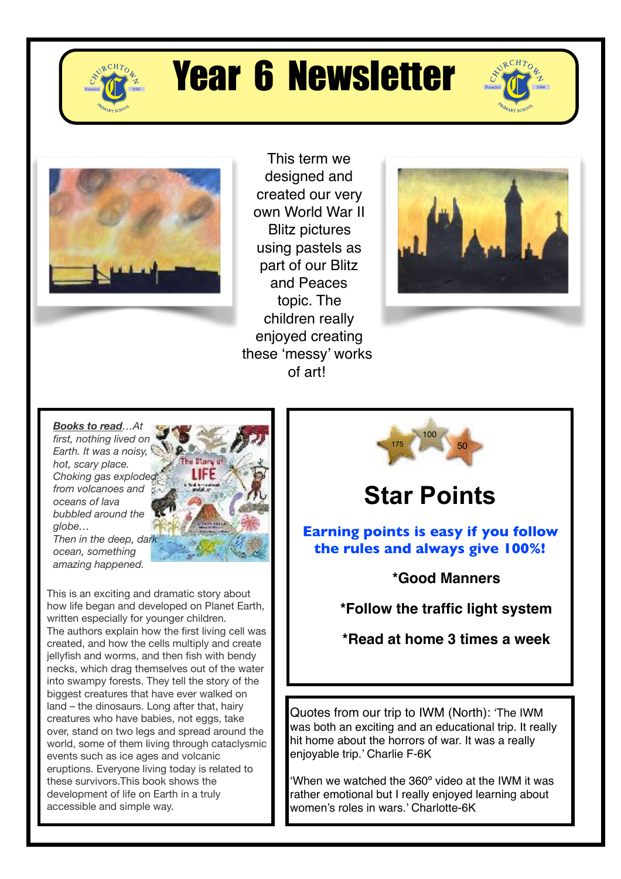

# Year 6 Newsletter





This term we designed and created our very own World War II Blitz pictures using pastels as part of our Blitz and Peaces topic. The children really enjoyed creating these 'messy' works of art!



*Books to read…At first, nothing lived on Earth. It was a noisy, hot, scary place. Choking gas exploded from volcanoes and oceans of lava bubbled around the globe… Then in the deep, dark ocean, something amazing happened.*



This is an exciting and dramatic story about how life began and developed on Planet Earth, written especially for younger children. The authors explain how the first living cell was created, and how the cells multiply and create jellyfish and worms, and then fish with bendy necks, which drag themselves out of the water into swampy forests. They tell the story of the biggest creatures that have ever walked on land – the dinosaurs. Long after that, hairy creatures who have babies, not eggs, take over, stand on two legs and spread around the world, some of them living through cataclysmic events such as ice ages and volcanic eruptions. Everyone living today is related to these survivors.This book shows the development of life on Earth in a truly accessible and simple way.



## **Star Points**

**Earning points is easy if you follow the rules and always give 100%!**

**\*Good Manners**

**\*Follow the traffic light system**

**\*Read at home 3 times a week**

Quotes from our trip to IWM (North): 'The IWM was both an exciting and an educational trip. It really hit home about the horrors of war. It was a really enjoyable trip.' Charlie F-6K

'When we watched the 360º video at the IWM it was rather emotional but I really enjoyed learning about women's roles in wars.' Charlotte-6K